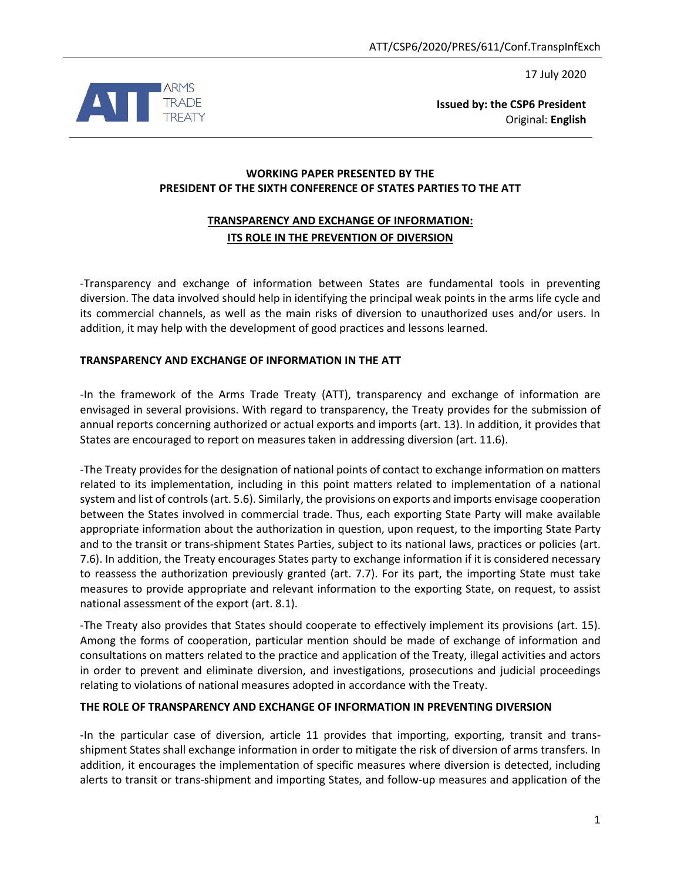17 July 2020



**Issued by: the CSP6 President** Original: **English**

## **WORKING PAPER PRESENTED BY THE PRESIDENT OF THE SIXTH CONFERENCE OF STATES PARTIES TO THE ATT**

# **TRANSPARENCY AND EXCHANGE OF INFORMATION: ITS ROLE IN THE PREVENTION OF DIVERSION**

-Transparency and exchange of information between States are fundamental tools in preventing diversion. The data involved should help in identifying the principal weak points in the arms life cycle and its commercial channels, as well as the main risks of diversion to unauthorized uses and/or users. In addition, it may help with the development of good practices and lessons learned.

## **TRANSPARENCY AND EXCHANGE OF INFORMATION IN THE ATT**

-In the framework of the Arms Trade Treaty (ATT), transparency and exchange of information are envisaged in several provisions. With regard to transparency, the Treaty provides for the submission of annual reports concerning authorized or actual exports and imports (art. 13). In addition, it provides that States are encouraged to report on measures taken in addressing diversion (art. 11.6).

-The Treaty provides for the designation of national points of contact to exchange information on matters related to its implementation, including in this point matters related to implementation of a national system and list of controls(art. 5.6). Similarly, the provisions on exports and imports envisage cooperation between the States involved in commercial trade. Thus, each exporting State Party will make available appropriate information about the authorization in question, upon request, to the importing State Party and to the transit or trans-shipment States Parties, subject to its national laws, practices or policies (art. 7.6). In addition, the Treaty encourages States party to exchange information if it is considered necessary to reassess the authorization previously granted (art. 7.7). For its part, the importing State must take measures to provide appropriate and relevant information to the exporting State, on request, to assist national assessment of the export (art. 8.1).

-The Treaty also provides that States should cooperate to effectively implement its provisions (art. 15). Among the forms of cooperation, particular mention should be made of exchange of information and consultations on matters related to the practice and application of the Treaty, illegal activities and actors in order to prevent and eliminate diversion, and investigations, prosecutions and judicial proceedings relating to violations of national measures adopted in accordance with the Treaty.

#### **THE ROLE OF TRANSPARENCY AND EXCHANGE OF INFORMATION IN PREVENTING DIVERSION**

-In the particular case of diversion, article 11 provides that importing, exporting, transit and transshipment States shall exchange information in order to mitigate the risk of diversion of arms transfers. In addition, it encourages the implementation of specific measures where diversion is detected, including alerts to transit or trans-shipment and importing States, and follow-up measures and application of the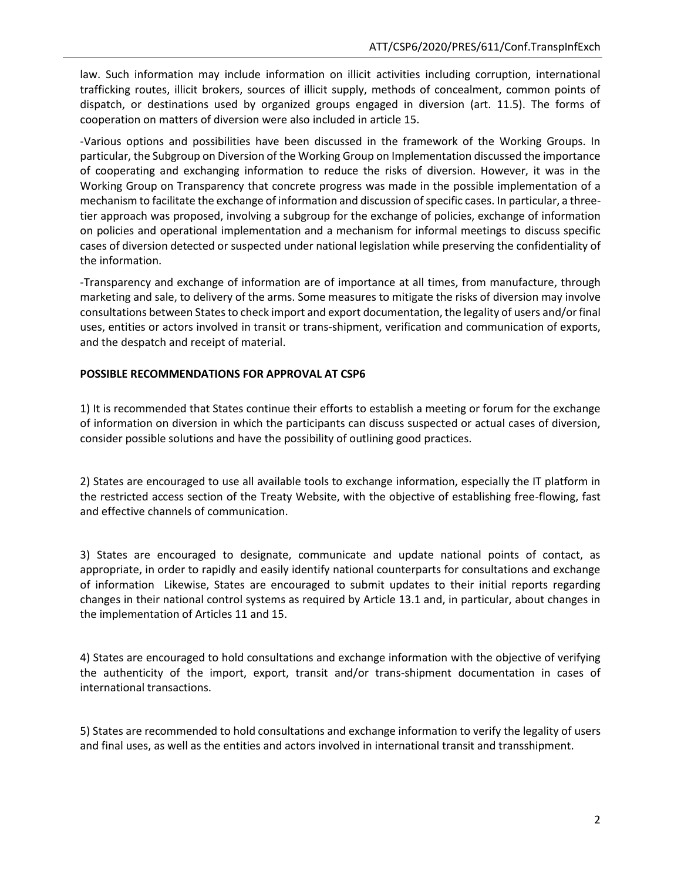law. Such information may include information on illicit activities including corruption, international trafficking routes, illicit brokers, sources of illicit supply, methods of concealment, common points of dispatch, or destinations used by organized groups engaged in diversion (art. 11.5). The forms of cooperation on matters of diversion were also included in article 15.

-Various options and possibilities have been discussed in the framework of the Working Groups. In particular, the Subgroup on Diversion of the Working Group on Implementation discussed the importance of cooperating and exchanging information to reduce the risks of diversion. However, it was in the Working Group on Transparency that concrete progress was made in the possible implementation of a mechanism to facilitate the exchange of information and discussion of specific cases. In particular, a threetier approach was proposed, involving a subgroup for the exchange of policies, exchange of information on policies and operational implementation and a mechanism for informal meetings to discuss specific cases of diversion detected or suspected under national legislation while preserving the confidentiality of the information.

-Transparency and exchange of information are of importance at all times, from manufacture, through marketing and sale, to delivery of the arms. Some measures to mitigate the risks of diversion may involve consultations between States to check import and export documentation, the legality of users and/or final uses, entities or actors involved in transit or trans-shipment, verification and communication of exports, and the despatch and receipt of material.

## **POSSIBLE RECOMMENDATIONS FOR APPROVAL AT CSP6**

1) It is recommended that States continue their efforts to establish a meeting or forum for the exchange of information on diversion in which the participants can discuss suspected or actual cases of diversion, consider possible solutions and have the possibility of outlining good practices.

2) States are encouraged to use all available tools to exchange information, especially the IT platform in the restricted access section of the Treaty Website, with the objective of establishing free-flowing, fast and effective channels of communication.

3) States are encouraged to designate, communicate and update national points of contact, as appropriate, in order to rapidly and easily identify national counterparts for consultations and exchange of information Likewise, States are encouraged to submit updates to their initial reports regarding changes in their national control systems as required by Article 13.1 and, in particular, about changes in the implementation of Articles 11 and 15.

4) States are encouraged to hold consultations and exchange information with the objective of verifying the authenticity of the import, export, transit and/or trans-shipment documentation in cases of international transactions.

5) States are recommended to hold consultations and exchange information to verify the legality of users and final uses, as well as the entities and actors involved in international transit and transshipment.